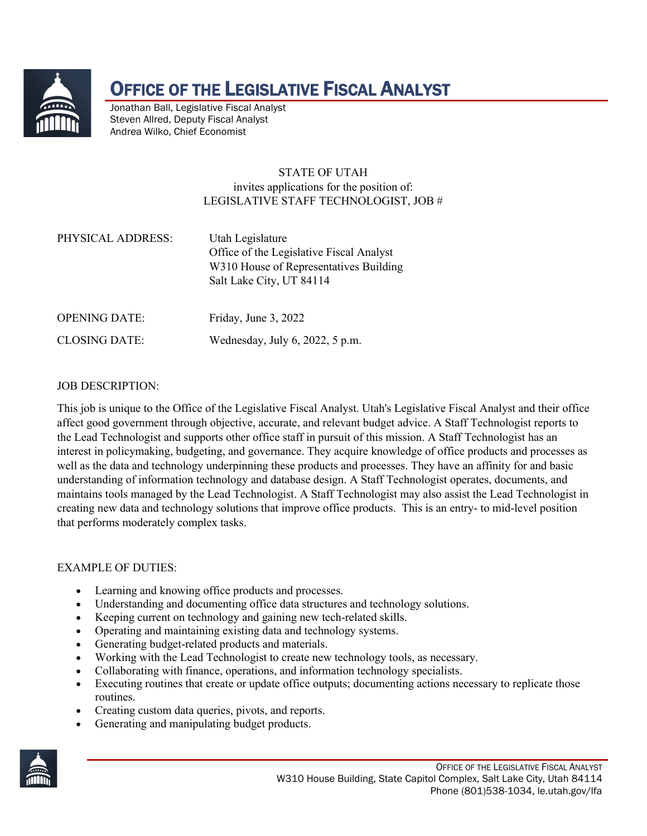

# OFFICE OF THE LEGISLATIVE FISCAL ANALYST

Jonathan Ball, Legislative Fiscal Analyst Steven Allred, Deputy Fiscal Analyst Andrea Wilko, Chief Economist

## STATE OF UTAH invites applications for the position of: LEGISLATIVE STAFF TECHNOLOGIST, JOB #

| PHYSICAL ADDRESS: | Utah Legislature                         |
|-------------------|------------------------------------------|
|                   | Office of the Legislative Fiscal Analyst |
|                   | W310 House of Representatives Building   |
|                   | Salt Lake City, UT 84114                 |
|                   |                                          |

OPENING DATE: Friday, June 3, 2022

CLOSING DATE: Wednesday, July 6, 2022, 5 p.m.

## JOB DESCRIPTION:

This job is unique to the Office of the Legislative Fiscal Analyst. Utah's Legislative Fiscal Analyst and their office affect good government through objective, accurate, and relevant budget advice. A Staff Technologist reports to the Lead Technologist and supports other office staff in pursuit of this mission. A Staff Technologist has an interest in policymaking, budgeting, and governance. They acquire knowledge of office products and processes as well as the data and technology underpinning these products and processes. They have an affinity for and basic understanding of information technology and database design. A Staff Technologist operates, documents, and maintains tools managed by the Lead Technologist. A Staff Technologist may also assist the Lead Technologist in creating new data and technology solutions that improve office products. This is an entry- to mid-level position that performs moderately complex tasks.

#### EXAMPLE OF DUTIES:

- Learning and knowing office products and processes.
- Understanding and documenting office data structures and technology solutions.
- Keeping current on technology and gaining new tech-related skills.
- Operating and maintaining existing data and technology systems.
- Generating budget-related products and materials.
- Working with the Lead Technologist to create new technology tools, as necessary.
- Collaborating with finance, operations, and information technology specialists.
- Executing routines that create or update office outputs; documenting actions necessary to replicate those routines.
- Creating custom data queries, pivots, and reports.
- Generating and manipulating budget products.